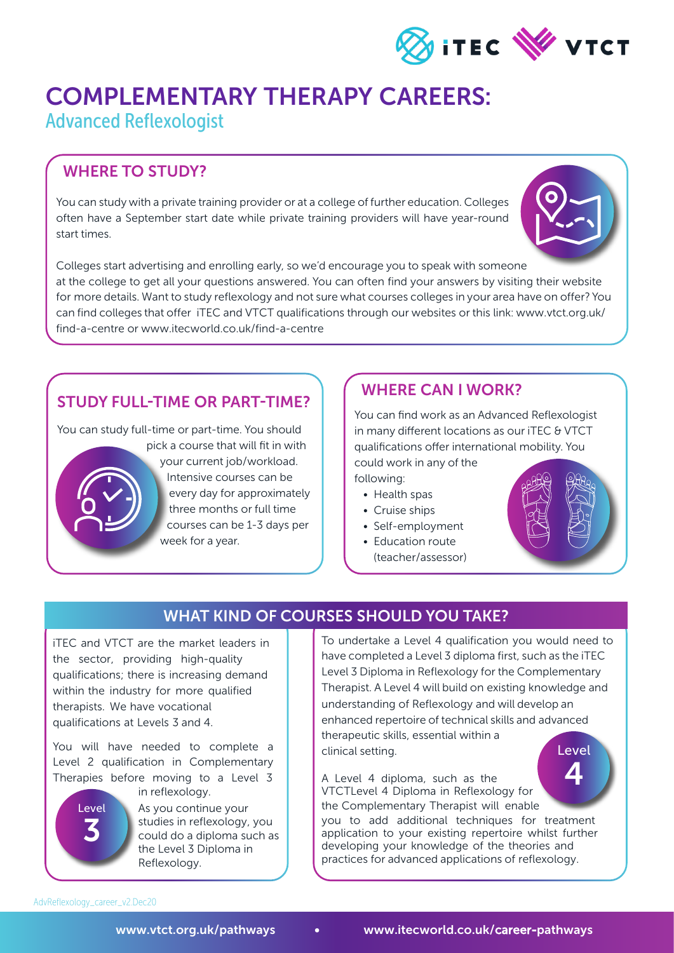

# COMPLEMENTARY THERAPY CAREERS:

Advanced Reflexologist

#### WHERE TO STUDY?

You can study with a private training provider or at a college of further education. Colleges often have a September start date while private training providers will have year-round start times.



Colleges start advertising and enrolling early, so we'd encourage you to speak with someone at the college to get all your questions answered. You can often find your answers by visiting their website for more details. Want to study reflexology and not sure what courses colleges in your area have on offer? You can find colleges that offer iTEC and VTCT qualifications through our websites or this link: www.vtct.org.uk/ find-a-centre or www.itecworld.co.uk/find-a-centre

### STUDY FULL-TIME OR PART-TIME?

You can study full-time or part-time. You should



pick a course that will fit in with your current job/workload. Intensive courses can be every day for approximately three months or full time courses can be 1-3 days per week for a year.

### WHERE CAN I WORK?

You can find work as an Advanced Reflexologist in many different locations as our iTEC & VTCT qualifications offer international mobility. You

could work in any of the following:

- Health spas
- Cruise ships
- Self-employment
- Education route
	- (teacher/assessor)



### WHAT KIND OF COURSES SHOULD YOU TAKE?

iTEC and VTCT are the market leaders in the sector, providing high-quality qualifications; there is increasing demand within the industry for more qualified therapists. We have vocational qualifications at Levels 3 and 4.

You will have needed to complete a Level 2 qualification in Complementary Therapies before moving to a Level 3



As you continue your studies in reflexology, you could do a diploma such as the Level 3 Diploma in Reflexology. in reflexology.

To undertake a Level 4 qualification you would need to have completed a Level 3 diploma first, such as the iTEC Level 3 Diploma in Reflexology for the Complementary Therapist. A Level 4 will build on existing knowledge and understanding of Reflexology and will develop an enhanced repertoire of technical skills and advanced therapeutic skills, essential within a clinical setting. Level

A Level 4 diploma, such as the VTCTLevel 4 Diploma in Reflexology for the Complementary Therapist will enable you to add additional techniques for treatment application to your existing repertoire whilst further developing your knowledge of the theories and practices for advanced applications of reflexology. 4

AdvReflexology\_career\_v2.Dec20